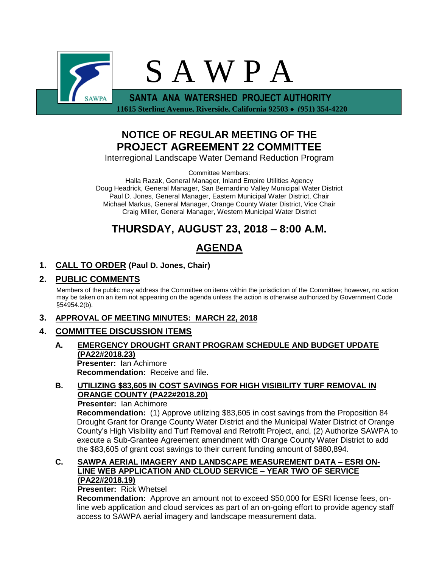

 **11615 Sterling Avenue, Riverside, California 92503** • **(951) 354-4220**

## **NOTICE OF REGULAR MEETING OF THE PROJECT AGREEMENT 22 COMMITTEE**

Interregional Landscape Water Demand Reduction Program

Committee Members:

Halla Razak, General Manager, Inland Empire Utilities Agency Doug Headrick, General Manager, San Bernardino Valley Municipal Water District Paul D. Jones, General Manager, Eastern Municipal Water District, Chair Michael Markus, General Manager, Orange County Water District, Vice Chair Craig Miller, General Manager, Western Municipal Water District

## **THURSDAY, AUGUST 23, 2018 – 8:00 A.M.**

# **AGENDA**

## **1. CALL TO ORDER (Paul D. Jones, Chair)**

## **2. PUBLIC COMMENTS**

Members of the public may address the Committee on items within the jurisdiction of the Committee; however, no action may be taken on an item not appearing on the agenda unless the action is otherwise authorized by Government Code §54954.2(b).

### **3. APPROVAL OF MEETING MINUTES: MARCH 22, 2018**

## **4. COMMITTEE DISCUSSION ITEMS**

#### **A. EMERGENCY DROUGHT GRANT PROGRAM SCHEDULE AND BUDGET UPDATE (PA22#2018.23) Presenter:** Ian Achimore

**Recommendation:** Receive and file.

### **B. UTILIZING \$83,605 IN COST SAVINGS FOR HIGH VISIBILITY TURF REMOVAL IN ORANGE COUNTY (PA22#2018.20)**

#### **Presenter:** Ian Achimore

**Recommendation:** (1) Approve utilizing \$83,605 in cost savings from the Proposition 84 Drought Grant for Orange County Water District and the Municipal Water District of Orange County's High Visibility and Turf Removal and Retrofit Project, and, (2) Authorize SAWPA to execute a Sub-Grantee Agreement amendment with Orange County Water District to add the \$83,605 of grant cost savings to their current funding amount of \$880,894.

#### **C. SAWPA AERIAL IMAGERY AND LANDSCAPE MEASUREMENT DATA – ESRI ON-LINE WEB APPLICATION AND CLOUD SERVICE – YEAR TWO OF SERVICE (PA22#2018.19)**

#### **Presenter:** Rick Whetsel

**Recommendation:** Approve an amount not to exceed \$50,000 for ESRI license fees, online web application and cloud services as part of an on-going effort to provide agency staff access to SAWPA aerial imagery and landscape measurement data.